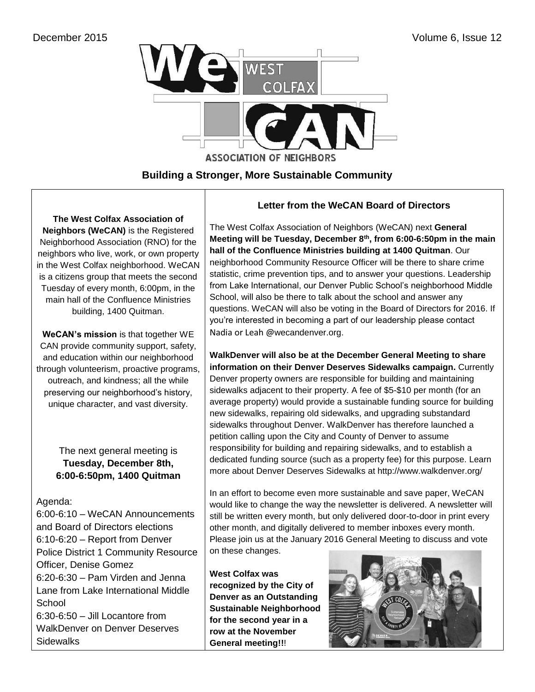

## **Building a Stronger, More Sustainable Community**

**The West Colfax Association of Neighbors (WeCAN)** is the Registered Neighborhood Association (RNO) for the neighbors who live, work, or own property in the West Colfax neighborhood. WeCAN is a citizens group that meets the second Tuesday of every month, 6:00pm, in the main hall of the Confluence Ministries building, 1400 Quitman.

**WeCAN's mission** is that together WE CAN provide community support, safety, and education within our neighborhood through volunteerism, proactive programs, outreach, and kindness; all the while preserving our neighborhood's history, unique character, and vast diversity.

> The next general meeting is **Tuesday, December 8th, 6:00-6:50pm, 1400 Quitman**

### Agenda:

6:00-6:10 – WeCAN Announcements and Board of Directors elections 6:10-6:20 – Report from Denver Police District 1 Community Resource Officer, Denise Gomez 6:20-6:30 – Pam Virden and Jenna Lane from Lake International Middle **School** 6:30-6:50 – Jill Locantore from WalkDenver on Denver Deserves **Sidewalks** 

### **Letter from the WeCAN Board of Directors**

The West Colfax Association of Neighbors (WeCAN) next **General Meeting will be Tuesday, December 8th, from 6:00-6:50pm in the main hall of the Confluence Ministries building at 1400 Quitman**. Our neighborhood Community Resource Officer will be there to share crime statistic, crime prevention tips, and to answer your questions. Leadership from Lake International, our Denver Public School's neighborhood Middle School, will also be there to talk about the school and answer any questions. WeCAN will also be voting in the Board of Directors for 2016. If you're interested in becoming a part of our leadership please contact Nadia or Leah @wecandenver.org.

**WalkDenver will also be at the December General Meeting to share information on their Denver Deserves Sidewalks campaign.** Currently Denver property owners are responsible for building and maintaining sidewalks adjacent to their property. A fee of \$5-\$10 per month (for an average property) would provide a sustainable funding source for building new sidewalks, repairing old sidewalks, and upgrading substandard sidewalks throughout Denver. WalkDenver has therefore [launched a](http://walkdenver.us4.list-manage2.com/track/click?u=3690a29ffbfd049fac208a9c6&id=c827dd2085&e=26810a371f)  [petition](http://walkdenver.us4.list-manage2.com/track/click?u=3690a29ffbfd049fac208a9c6&id=c827dd2085&e=26810a371f) calling upon the City and County of Denver to assume responsibility for building and repairing sidewalks, and to establish a dedicated funding source (such as a property fee) for this purpose. Learn more about Denver Deserves Sidewalks at http://www.walkdenver.org/

In an effort to become even more sustainable and save paper, WeCAN would like to change the way the newsletter is delivered. A newsletter will still be written every month, but only delivered door-to-door in print every other month, and digitally delivered to member inboxes every month. Please join us at the January 2016 General Meeting to discuss and vote on these changes.

**West Colfax was recognized by the City of Denver as an Outstanding Sustainable Neighborhood for the second year in a row at the November General meeting!!**!